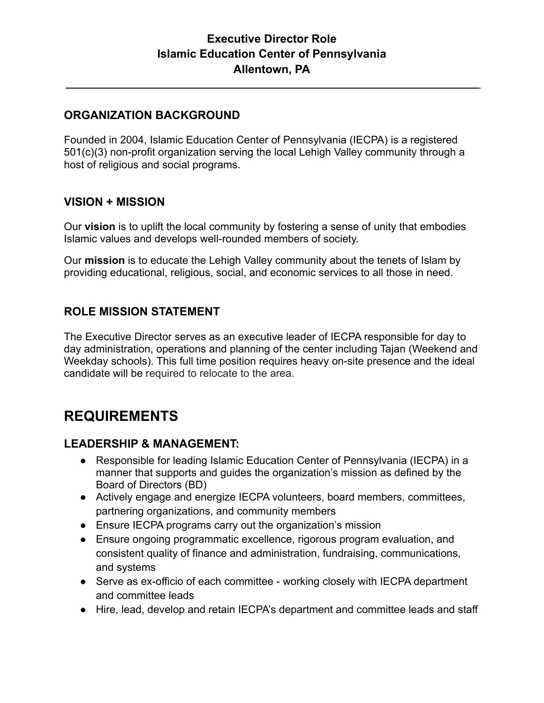## **Executive Director Role Islamic Education Center of Pennsylvania Allentown, PA**

#### **ORGANIZATION BACKGROUND**

Founded in 2004, Islamic Education Center of Pennsylvania (IECPA) is a registered 501(c)(3) non-profit organization serving the local Lehigh Valley community through a host of religious and social programs.

#### **VISION + MISSION**

Our **vision** is to uplift the local community by fostering a sense of unity that embodies Islamic values and develops well-rounded members of society.

Our **mission** is to educate the Lehigh Valley community about the tenets of Islam by providing educational, religious, social, and economic services to all those in need.

#### **ROLE MISSION STATEMENT**

The Executive Director serves as an executive leader of IECPA responsible for day to day administration, operations and planning of the center including Tajan (Weekend and Weekday schools). This full time position requires heavy on-site presence and the ideal candidate will be required to relocate to the area.

# **REQUIREMENTS**

#### **LEADERSHIP & MANAGEMENT:**

- Responsible for leading Islamic Education Center of Pennsylvania (IECPA) in a manner that supports and guides the organization's mission as defined by the Board of Directors (BD)
- Actively engage and energize IECPA volunteers, board members, committees, partnering organizations, and community members
- Ensure IECPA programs carry out the organization's mission
- Ensure ongoing programmatic excellence, rigorous program evaluation, and consistent quality of finance and administration, fundraising, communications, and systems
- Serve as ex-officio of each committee working closely with IECPA department and committee leads
- Hire, lead, develop and retain IECPA's department and committee leads and staff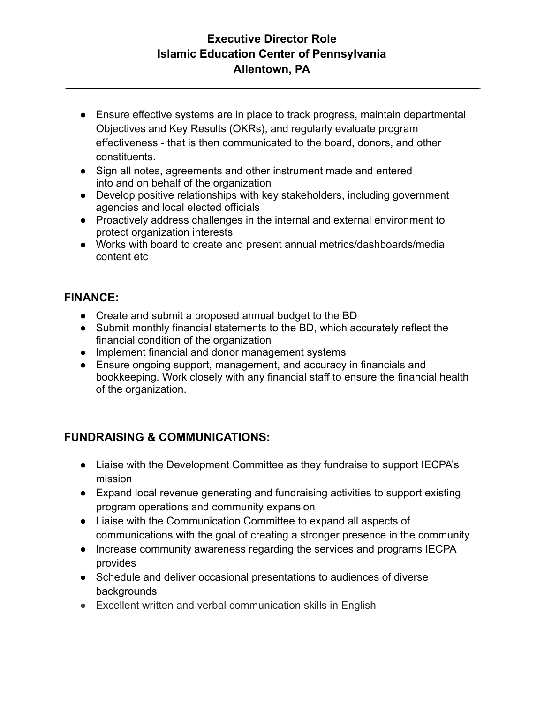## **Executive Director Role Islamic Education Center of Pennsylvania Allentown, PA**

- Ensure effective systems are in place to track progress, maintain departmental Objectives and Key Results (OKRs), and regularly evaluate program effectiveness - that is then communicated to the board, donors, and other constituents.
- Sign all notes, agreements and other instrument made and entered into and on behalf of the organization
- Develop positive relationships with key stakeholders, including government agencies and local elected officials
- Proactively address challenges in the internal and external environment to protect organization interests
- Works with board to create and present annual metrics/dashboards/media content etc

### **FINANCE:**

- Create and submit a proposed annual budget to the BD
- Submit monthly financial statements to the BD, which accurately reflect the financial condition of the organization
- Implement financial and donor management systems
- Ensure ongoing support, management, and accuracy in financials and bookkeeping. Work closely with any financial staff to ensure the financial health of the organization.

# **FUNDRAISING & COMMUNICATIONS:**

- Liaise with the Development Committee as they fundraise to support IECPA's mission
- Expand local revenue generating and fundraising activities to support existing program operations and community expansion
- Liaise with the Communication Committee to expand all aspects of communications with the goal of creating a stronger presence in the community
- Increase community awareness regarding the services and programs IECPA provides
- Schedule and deliver occasional presentations to audiences of diverse backgrounds
- Excellent written and verbal communication skills in English